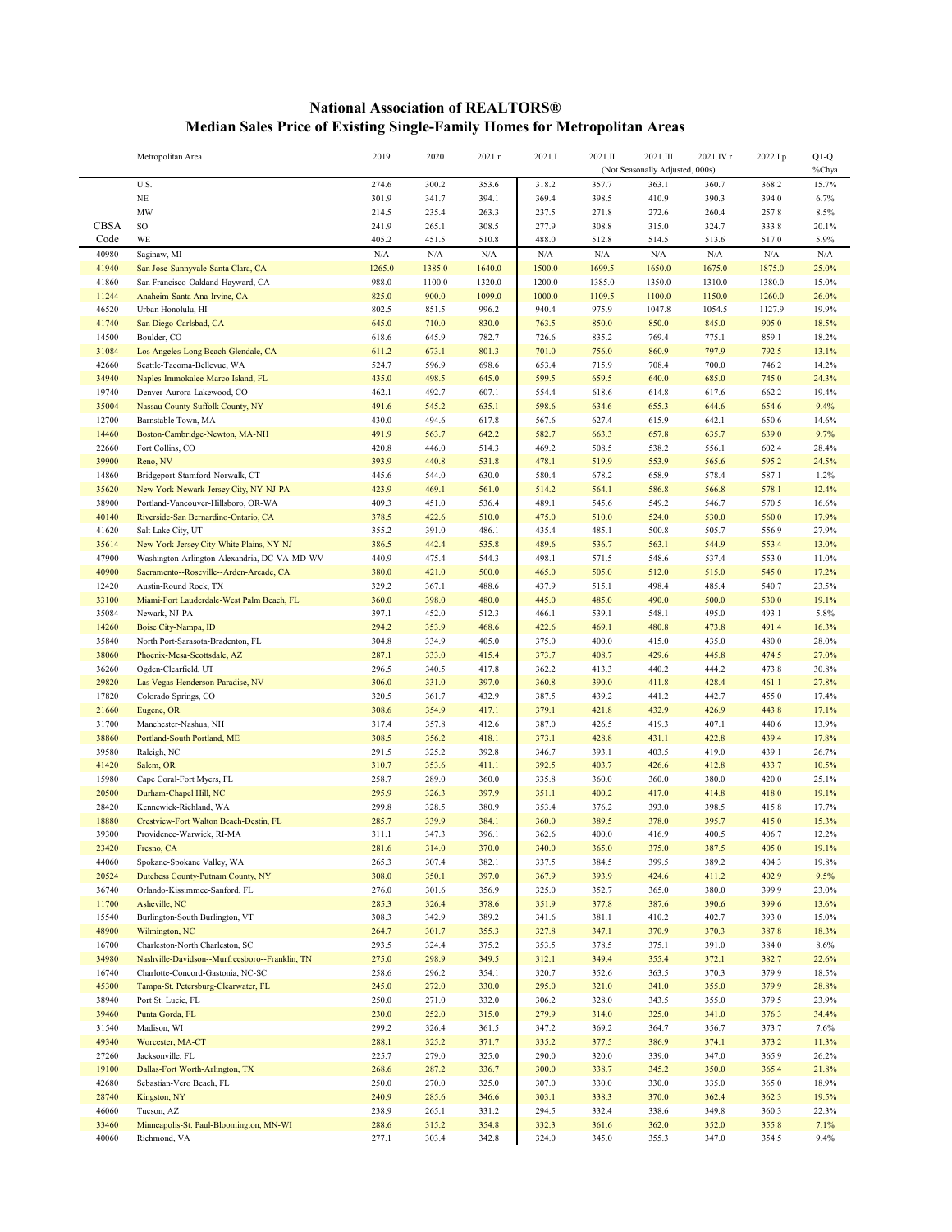## **National Association of REALTORS® Median Sales Price of Existing Single-Family Homes for Metropolitan Areas**

|                | Metropolitan Area                                 | 2019           | 2020           | 2021 r         | 2021.I         | 2021.II        | 2021.III                        | 2021.IV r      | 2022.Ip        | $Q1-Q1$        |
|----------------|---------------------------------------------------|----------------|----------------|----------------|----------------|----------------|---------------------------------|----------------|----------------|----------------|
|                |                                                   |                |                |                |                |                | (Not Seasonally Adjusted, 000s) |                |                | %Chya          |
|                | U.S.                                              | 274.6          | 300.2          | 353.6          | 318.2          | 357.7          | 363.1                           | 360.7          | 368.2          | 15.7%          |
|                | $\rm NE$                                          | 301.9          | 341.7          | 394.1          | 369.4          | 398.5          | 410.9                           | 390.3          | 394.0          | 6.7%           |
| <b>CBSA</b>    | <b>MW</b><br>$\rm SO$                             | 214.5<br>241.9 | 235.4<br>265.1 | 263.3<br>308.5 | 237.5<br>277.9 | 271.8<br>308.8 | 272.6<br>315.0                  | 260.4<br>324.7 | 257.8          | 8.5%           |
| Code           | WE                                                | 405.2          | 451.5          | 510.8          | 488.0          | 512.8          | 514.5                           | 513.6          | 333.8<br>517.0 | 20.1%<br>5.9%  |
| 40980          | Saginaw, MI                                       | N/A            | N/A            | N/A            | N/A            | N/A            | N/A                             | N/A            | $\rm N/A$      | N/A            |
| 41940          | San Jose-Sunnyvale-Santa Clara, CA                | 1265.0         | 1385.0         | 1640.0         | 1500.0         | 1699.5         | 1650.0                          | 1675.0         | 1875.0         | 25.0%          |
| 41860          | San Francisco-Oakland-Hayward, CA                 | 988.0          | 1100.0         | 1320.0         | 1200.0         | 1385.0         | 1350.0                          | 1310.0         | 1380.0         | 15.0%          |
| 11244          | Anaheim-Santa Ana-Irvine, CA                      | 825.0          | 900.0          | 1099.0         | 1000.0         | 1109.5         | 1100.0                          | 1150.0         | 1260.0         | 26.0%          |
| 46520          | Urban Honolulu, HI                                | 802.5          | 851.5          | 996.2          | 940.4          | 975.9          | 1047.8                          | 1054.5         | 1127.9         | 19.9%          |
| 41740          | San Diego-Carlsbad, CA                            | 645.0          | 710.0          | 830.0          | 763.5          | 850.0          | 850.0                           | 845.0          | 905.0          | 18.5%          |
| 14500          | Boulder, CO                                       | 618.6          | 645.9          | 782.7          | 726.6          | 835.2          | 769.4                           | 775.1          | 859.1          | 18.2%          |
| 31084          | Los Angeles-Long Beach-Glendale, CA               | 611.2          | 673.1          | 801.3          | 701.0          | 756.0          | 860.9                           | 797.9          | 792.5          | 13.1%          |
| 42660          | Seattle-Tacoma-Bellevue, WA                       | 524.7          | 596.9          | 698.6          | 653.4          | 715.9          | 708.4                           | 700.0          | 746.2          | 14.2%          |
| 34940          | Naples-Immokalee-Marco Island, FL                 | 435.0          | 498.5          | 645.0          | 599.5          | 659.5          | 640.0                           | 685.0          | 745.0          | 24.3%          |
| 19740          | Denver-Aurora-Lakewood, CO                        | 462.1          | 492.7          | 607.1          | 554.4          | 618.6          | 614.8                           | 617.6          | 662.2          | 19.4%          |
| 35004          | Nassau County-Suffolk County, NY                  | 491.6          | 545.2          | 635.1          | 598.6          | 634.6          | 655.3                           | 644.6          | 654.6          | 9.4%           |
| 12700          | Barnstable Town, MA                               | 430.0          | 494.6          | 617.8          | 567.6          | 627.4          | 615.9                           | 642.1          | 650.6          | 14.6%          |
| 14460          | Boston-Cambridge-Newton, MA-NH                    | 491.9          | 563.7          | 642.2          | 582.7          | 663.3          | 657.8                           | 635.7          | 639.0          | 9.7%           |
| 22660          | Fort Collins, CO                                  | 420.8          | 446.0          | 514.3          | 469.2          | 508.5          | 538.2                           | 556.1          | 602.4          | 28.4%          |
| 39900<br>14860 | Reno, NV<br>Bridgeport-Stamford-Norwalk, CT       | 393.9<br>445.6 | 440.8<br>544.0 | 531.8<br>630.0 | 478.1<br>580.4 | 519.9<br>678.2 | 553.9<br>658.9                  | 565.6<br>578.4 | 595.2<br>587.1 | 24.5%<br>1.2%  |
| 35620          | New York-Newark-Jersey City, NY-NJ-PA             | 423.9          | 469.1          | 561.0          | 514.2          | 564.1          | 586.8                           | 566.8          | 578.1          | 12.4%          |
| 38900          | Portland-Vancouver-Hillsboro, OR-WA               | 409.3          | 451.0          | 536.4          | 489.1          | 545.6          | 549.2                           | 546.7          | 570.5          | 16.6%          |
| 40140          | Riverside-San Bernardino-Ontario, CA              | 378.5          | 422.6          | 510.0          | 475.0          | 510.0          | 524.0                           | 530.0          | 560.0          | 17.9%          |
| 41620          | Salt Lake City, UT                                | 355.2          | 391.0          | 486.1          | 435.4          | 485.1          | 500.8                           | 505.7          | 556.9          | 27.9%          |
| 35614          | New York-Jersey City-White Plains, NY-NJ          | 386.5          | 442.4          | 535.8          | 489.6          | 536.7          | 563.1                           | 544.9          | 553.4          | 13.0%          |
| 47900          | Washington-Arlington-Alexandria, DC-VA-MD-WV      | 440.9          | 475.4          | 544.3          | 498.1          | 571.5          | 548.6                           | 537.4          | 553.0          | 11.0%          |
| 40900          | Sacramento--Roseville--Arden-Arcade, CA           | 380.0          | 421.0          | 500.0          | 465.0          | 505.0          | 512.0                           | 515.0          | 545.0          | 17.2%          |
| 12420          | Austin-Round Rock, TX                             | 329.2          | 367.1          | 488.6          | 437.9          | 515.1          | 498.4                           | 485.4          | 540.7          | 23.5%          |
| 33100          | Miami-Fort Lauderdale-West Palm Beach, FL         | 360.0          | 398.0          | 480.0          | 445.0          | 485.0          | 490.0                           | 500.0          | 530.0          | 19.1%          |
| 35084          | Newark, NJ-PA                                     | 397.1          | 452.0          | 512.3          | 466.1          | 539.1          | 548.1                           | 495.0          | 493.1          | 5.8%           |
| 14260          | Boise City-Nampa, ID                              | 294.2          | 353.9          | 468.6          | 422.6          | 469.1          | 480.8                           | 473.8          | 491.4          | 16.3%          |
| 35840          | North Port-Sarasota-Bradenton, FL                 | 304.8          | 334.9          | 405.0          | 375.0          | 400.0          | 415.0                           | 435.0          | 480.0          | 28.0%          |
| 38060          | Phoenix-Mesa-Scottsdale, AZ                       | 287.1          | 333.0          | 415.4          | 373.7          | 408.7          | 429.6                           | 445.8          | 474.5          | 27.0%          |
| 36260          | Ogden-Clearfield, UT                              | 296.5          | 340.5          | 417.8          | 362.2          | 413.3          | 440.2                           | 444.2          | 473.8          | $30.8\%$       |
| 29820          | Las Vegas-Henderson-Paradise, NV                  | 306.0          | 331.0          | 397.0          | 360.8          | 390.0          | 411.8                           | 428.4          | 461.1          | 27.8%          |
| 17820<br>21660 | Colorado Springs, CO<br>Eugene, OR                | 320.5<br>308.6 | 361.7<br>354.9 | 432.9          | 387.5<br>379.1 | 439.2          | 441.2<br>432.9                  | 442.7<br>426.9 | 455.0<br>443.8 | 17.4%<br>17.1% |
| 31700          | Manchester-Nashua, NH                             | 317.4          | 357.8          | 417.1<br>412.6 | 387.0          | 421.8<br>426.5 | 419.3                           | 407.1          | 440.6          | 13.9%          |
| 38860          | Portland-South Portland, ME                       | 308.5          | 356.2          | 418.1          | 373.1          | 428.8          | 431.1                           | 422.8          | 439.4          | 17.8%          |
| 39580          | Raleigh, NC                                       | 291.5          | 325.2          | 392.8          | 346.7          | 393.1          | 403.5                           | 419.0          | 439.1          | 26.7%          |
| 41420          | Salem, OR                                         | 310.7          | 353.6          | 411.1          | 392.5          | 403.7          | 426.6                           | 412.8          | 433.7          | 10.5%          |
| 15980          | Cape Coral-Fort Myers, FL                         | 258.7          | 289.0          | 360.0          | 335.8          | 360.0          | 360.0                           | 380.0          | 420.0          | 25.1%          |
| 20500          | Durham-Chapel Hill, NC                            | 295.9          | 326.3          | 397.9          | 351.1          | 400.2          | 417.0                           | 414.8          | 418.0          | 19.1%          |
| 28420          | Kennewick-Richland, WA                            | 299.8          | 328.5          | 380.9          | 353.4          | 376.2          | 393.0                           | 398.5          | 415.8          | 17.7%          |
| 18880          | Crestview-Fort Walton Beach-Destin, FL            | 285.7          | 339.9          | 384.1          | 360.0          | 389.5          | 378.0                           | 395.7          | 415.0          | 15.3%          |
| 39300          | Providence-Warwick, RI-MA                         | 311.1          | 347.3          | 396.1          | 362.6          | 400.0          | 416.9                           | 400.5          | 406.7          | 12.2%          |
| 23420          | Fresno, CA                                        | 281.6          | 314.0          | 370.0          | 340.0          | 365.0          | 375.0                           | 387.5          | 405.0          | 19.1%          |
| 44060          | Spokane-Spokane Valley, WA                        | 265.3          | 307.4          | 382.1          | 337.5          | 384.5          | 399.5                           | 389.2          | 404.3          | 19.8%          |
| 20524          | Dutchess County-Putnam County, NY                 | 308.0          | 350.1          | 397.0          | 367.9          | 393.9          | 424.6                           | 411.2          | 402.9          | 9.5%           |
| 36740          | Orlando-Kissimmee-Sanford, FL                     | 276.0          | 301.6          | 356.9          | 325.0          | 352.7          | 365.0                           | 380.0          | 399.9          | 23.0%          |
| 11700          | Asheville, NC                                     | 285.3          | 326.4          | 378.6          | 351.9          | 377.8          | 387.6                           | 390.6          | 399.6          | 13.6%          |
| 15540<br>48900 | Burlington-South Burlington, VT                   | 308.3<br>264.7 | 342.9          | 389.2          | 341.6<br>327.8 | 381.1<br>347.1 | 410.2<br>370.9                  | 402.7<br>370.3 | 393.0<br>387.8 | 15.0%          |
| 16700          | Wilmington, NC<br>Charleston-North Charleston, SC | 293.5          | 301.7<br>324.4 | 355.3<br>375.2 | 353.5          | 378.5          | 375.1                           | 391.0          | 384.0          | 18.3%<br>8.6%  |
| 34980          | Nashville-Davidson--Murfreesboro--Franklin, TN    | 275.0          | 298.9          | 349.5          | 312.1          | 349.4          | 355.4                           | 372.1          | 382.7          | 22.6%          |
| 16740          | Charlotte-Concord-Gastonia, NC-SC                 | 258.6          | 296.2          | 354.1          | 320.7          | 352.6          | 363.5                           | 370.3          | 379.9          | 18.5%          |
| 45300          | Tampa-St. Petersburg-Clearwater, FL               | 245.0          | 272.0          | 330.0          | 295.0          | 321.0          | 341.0                           | 355.0          | 379.9          | 28.8%          |
| 38940          | Port St. Lucie, FL                                | 250.0          | 271.0          | 332.0          | 306.2          | 328.0          | 343.5                           | 355.0          | 379.5          | 23.9%          |
| 39460          | Punta Gorda, FL                                   | 230.0          | 252.0          | 315.0          | 279.9          | 314.0          | 325.0                           | 341.0          | 376.3          | 34.4%          |
| 31540          | Madison, WI                                       | 299.2          | 326.4          | 361.5          | 347.2          | 369.2          | 364.7                           | 356.7          | 373.7          | 7.6%           |
| 49340          | Worcester, MA-CT                                  | 288.1          | 325.2          | 371.7          | 335.2          | 377.5          | 386.9                           | 374.1          | 373.2          | 11.3%          |
| 27260          | Jacksonville, FL                                  | 225.7          | 279.0          | 325.0          | 290.0          | 320.0          | 339.0                           | 347.0          | 365.9          | 26.2%          |
| 19100          | Dallas-Fort Worth-Arlington, TX                   | 268.6          | 287.2          | 336.7          | 300.0          | 338.7          | 345.2                           | 350.0          | 365.4          | 21.8%          |
| 42680          | Sebastian-Vero Beach, FL                          | 250.0          | 270.0          | 325.0          | 307.0          | 330.0          | 330.0                           | 335.0          | 365.0          | 18.9%          |
| 28740          | Kingston, NY                                      | 240.9          | 285.6          | 346.6          | 303.1          | 338.3          | 370.0                           | 362.4          | 362.3          | 19.5%          |
| 46060          | Tucson, AZ                                        | 238.9          | 265.1          | 331.2          | 294.5          | 332.4          | 338.6                           | 349.8          | 360.3          | 22.3%          |
| 33460          | Minneapolis-St. Paul-Bloomington, MN-WI           | 288.6          | 315.2          | 354.8          | 332.3          | 361.6          | 362.0                           | 352.0          | 355.8          | 7.1%           |
| 40060          | Richmond, VA                                      | 277.1          | 303.4          | 342.8          | 324.0          | 345.0          | 355.3                           | 347.0          | 354.5          | 9.4%           |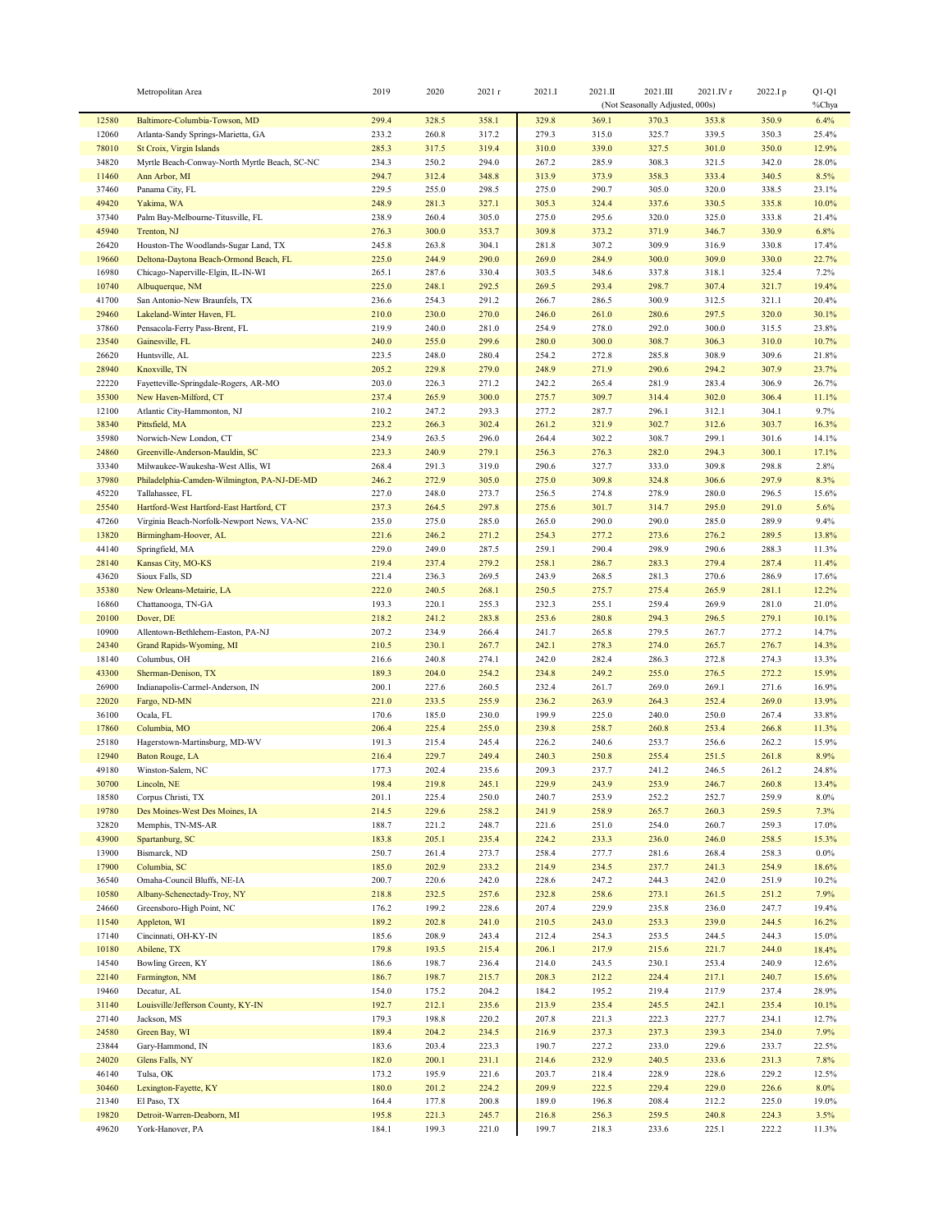|                | Metropolitan Area                                              | 2019           | 2020           | 2021 r         | 2021.I         | 2021.II        | 2021.III<br>(Not Seasonally Adjusted, 000s) | 2021.IV r      | 2022.Ip        | $Q1-Q1$<br>%Chya |
|----------------|----------------------------------------------------------------|----------------|----------------|----------------|----------------|----------------|---------------------------------------------|----------------|----------------|------------------|
| 12580          | Baltimore-Columbia-Towson, MD                                  | 299.4          | 328.5          | 358.1          | 329.8          | 369.1          | 370.3                                       | 353.8          | 350.9          | 6.4%             |
| 12060          | Atlanta-Sandy Springs-Marietta, GA                             | 233.2          | 260.8          | 317.2          | 279.3          | 315.0          | 325.7                                       | 339.5          | 350.3          | 25.4%            |
| 78010          | St Croix, Virgin Islands                                       | 285.3          | 317.5          | 319.4          | 310.0          | 339.0          | 327.5                                       | 301.0          | 350.0          | 12.9%            |
| 34820          | Myrtle Beach-Conway-North Myrtle Beach, SC-NC                  | 234.3          | 250.2          | 294.0          | 267.2          | 285.9          | 308.3                                       | 321.5          | 342.0          | $28.0\%$         |
| 11460          | Ann Arbor, MI                                                  | 294.7          | 312.4          | 348.8          | 313.9          | 373.9          | 358.3                                       | 333.4          | 340.5          | 8.5%             |
| 37460          | Panama City, FL                                                | 229.5          | 255.0          | 298.5          | 275.0          | 290.7          | 305.0                                       | 320.0          | 338.5          | 23.1%            |
| 49420          | Yakima, WA                                                     | 248.9          | 281.3          | 327.1          | 305.3          | 324.4          | 337.6                                       | 330.5          | 335.8          | 10.0%            |
| 37340          | Palm Bay-Melbourne-Titusville, FL                              | 238.9          | 260.4          | 305.0          | 275.0          | 295.6          | 320.0                                       | 325.0          | 333.8          | 21.4%            |
| 45940          | Trenton, NJ                                                    | 276.3          | 300.0          | 353.7          | 309.8          | 373.2          | 371.9                                       | 346.7          | 330.9          | 6.8%             |
| 26420          | Houston-The Woodlands-Sugar Land, TX                           | 245.8          | 263.8          | 304.1          | 281.8          | 307.2          | 309.9                                       | 316.9          | 330.8          | 17.4%            |
| 19660          | Deltona-Daytona Beach-Ormond Beach, FL                         | 225.0          | 244.9          | 290.0          | 269.0          | 284.9          | 300.0                                       | 309.0          | 330.0          | 22.7%            |
| 16980          | Chicago-Naperville-Elgin, IL-IN-WI                             | 265.1          | 287.6          | 330.4          | 303.5          | 348.6          | 337.8                                       | 318.1          | 325.4          | 7.2%             |
| 10740          | Albuquerque, NM                                                | 225.0          | 248.1          | 292.5          | 269.5          | 293.4          | 298.7                                       | 307.4          | 321.7          | 19.4%            |
| 41700          | San Antonio-New Braunfels, TX                                  | 236.6          | 254.3          | 291.2          | 266.7          | 286.5          | 300.9                                       | 312.5          | 321.1          | 20.4%            |
| 29460          | Lakeland-Winter Haven, FL                                      | 210.0          | 230.0          | 270.0          | 246.0          | 261.0          | 280.6                                       | 297.5          | 320.0          | 30.1%            |
| 37860          | Pensacola-Ferry Pass-Brent, FL                                 | 219.9          | 240.0          | 281.0          | 254.9          | 278.0          | 292.0                                       | 300.0          | 315.5          | 23.8%            |
| 23540          | Gainesville, FL                                                | 240.0          | 255.0          | 299.6          | 280.0          | 300.0          | 308.7                                       | 306.3          | 310.0          | 10.7%            |
| 26620          | Huntsville, AL                                                 | 223.5          | 248.0          | 280.4          | 254.2          | 272.8          | 285.8                                       | 308.9          | 309.6          | 21.8%            |
| 28940          | Knoxville, TN                                                  | 205.2          | 229.8          | 279.0          | 248.9          | 271.9<br>265.4 | 290.6<br>281.9                              | 294.2          | 307.9<br>306.9 | 23.7%<br>26.7%   |
| 22220<br>35300 | Fayetteville-Springdale-Rogers, AR-MO<br>New Haven-Milford, CT | 203.0<br>237.4 | 226.3<br>265.9 | 271.2<br>300.0 | 242.2<br>275.7 | 309.7          | 314.4                                       | 283.4<br>302.0 | 306.4          | 11.1%            |
| 12100          | Atlantic City-Hammonton, NJ                                    | 210.2          | 247.2          | 293.3          | 277.2          | 287.7          | 296.1                                       | 312.1          | 304.1          | 9.7%             |
| 38340          | Pittsfield, MA                                                 | 223.2          | 266.3          | 302.4          | 261.2          | 321.9          | 302.7                                       | 312.6          | 303.7          | 16.3%            |
| 35980          | Norwich-New London, CT                                         | 234.9          | 263.5          | 296.0          | 264.4          | 302.2          | 308.7                                       | 299.1          | 301.6          | 14.1%            |
| 24860          | Greenville-Anderson-Mauldin, SC                                | 223.3          | 240.9          | 279.1          | 256.3          | 276.3          | 282.0                                       | 294.3          | 300.1          | 17.1%            |
| 33340          | Milwaukee-Waukesha-West Allis, WI                              | 268.4          | 291.3          | 319.0          | 290.6          | 327.7          | 333.0                                       | 309.8          | 298.8          | 2.8%             |
| 37980          | Philadelphia-Camden-Wilmington, PA-NJ-DE-MD                    | 246.2          | 272.9          | 305.0          | 275.0          | 309.8          | 324.8                                       | 306.6          | 297.9          | 8.3%             |
| 45220          | Tallahassee, FL                                                | 227.0          | 248.0          | 273.7          | 256.5          | 274.8          | 278.9                                       | 280.0          | 296.5          | 15.6%            |
| 25540          | Hartford-West Hartford-East Hartford, CT                       | 237.3          | 264.5          | 297.8          | 275.6          | 301.7          | 314.7                                       | 295.0          | 291.0          | 5.6%             |
| 47260          | Virginia Beach-Norfolk-Newport News, VA-NC                     | 235.0          | 275.0          | 285.0          | 265.0          | 290.0          | 290.0                                       | 285.0          | 289.9          | 9.4%             |
| 13820          | Birmingham-Hoover, AL                                          | 221.6          | 246.2          | 271.2          | 254.3          | 277.2          | 273.6                                       | 276.2          | 289.5          | 13.8%            |
| 44140          | Springfield, MA                                                | 229.0          | 249.0          | 287.5          | 259.1          | 290.4          | 298.9                                       | 290.6          | 288.3          | 11.3%            |
| 28140          | Kansas City, MO-KS                                             | 219.4          | 237.4          | 279.2          | 258.1          | 286.7          | 283.3                                       | 279.4          | 287.4          | 11.4%            |
| 43620          | Sioux Falls, SD                                                | 221.4          | 236.3          | 269.5          | 243.9          | 268.5          | 281.3                                       | 270.6          | 286.9          | 17.6%            |
| 35380          | New Orleans-Metairie, LA                                       | 222.0          | 240.5          | 268.1          | 250.5          | 275.7          | 275.4                                       | 265.9          | 281.1          | 12.2%            |
| 16860          | Chattanooga, TN-GA                                             | 193.3          | 220.1          | 255.3          | 232.3          | 255.1          | 259.4                                       | 269.9          | 281.0          | 21.0%            |
| 20100          | Dover, DE                                                      | 218.2          | 241.2          | 283.8          | 253.6          | 280.8          | 294.3                                       | 296.5          | 279.1          | 10.1%            |
| 10900          | Allentown-Bethlehem-Easton, PA-NJ                              | 207.2          | 234.9          | 266.4          | 241.7          | 265.8          | 279.5                                       | 267.7          | 277.2          | 14.7%            |
| 24340          | Grand Rapids-Wyoming, MI                                       | 210.5          | 230.1          | 267.7          | 242.1          | 278.3          | 274.0                                       | 265.7          | 276.7          | 14.3%            |
| 18140          | Columbus, OH                                                   | 216.6          | 240.8          | 274.1          | 242.0          | 282.4          | 286.3                                       | 272.8          | 274.3          | 13.3%            |
| 43300          | Sherman-Denison, TX                                            | 189.3          | 204.0          | 254.2          | 234.8          | 249.2          | 255.0                                       | 276.5          | 272.2          | 15.9%            |
| 26900          | Indianapolis-Carmel-Anderson, IN                               | 200.1          | 227.6          | 260.5          | 232.4          | 261.7          | 269.0                                       | 269.1          | 271.6          | 16.9%            |
| 22020          | Fargo, ND-MN                                                   | 221.0          | 233.5          | 255.9          | 236.2          | 263.9          | 264.3                                       | 252.4          | 269.0          | 13.9%            |
| 36100<br>17860 | Ocala, FL<br>Columbia, MO                                      | 170.6<br>206.4 | 185.0          | 230.0          | 199.9          | 225.0          | 240.0                                       | 250.0<br>253.4 | 267.4          | 33.8%            |
| 25180          | Hagerstown-Martinsburg, MD-WV                                  | 191.3          | 225.4<br>215.4 | 255.0<br>245.4 | 239.8<br>226.2 | 258.7<br>240.6 | 260.8<br>253.7                              | 256.6          | 266.8<br>262.2 | 11.3%<br>15.9%   |
| 12940          | Baton Rouge, LA                                                | 216.4          | 229.7          | 249.4          | 240.3          | 250.8          | 255.4                                       | 251.5          | 261.8          | 8.9%             |
| 49180          | Winston-Salem, NC                                              | 177.3          | 202.4          | 235.6          | 209.3          | 237.7          | 241.2                                       | 246.5          | 261.2          | 24.8%            |
| 30700          | Lincoln, NE                                                    | 198.4          | 219.8          | 245.1          | 229.9          | 243.9          | 253.9                                       | 246.7          | 260.8          | 13.4%            |
| 18580          | Corpus Christi, TX                                             | 201.1          | 225.4          | 250.0          | 240.7          | 253.9          | 252.2                                       | 252.7          | 259.9          | $8.0\%$          |
| 19780          | Des Moines-West Des Moines, IA                                 | 214.5          | 229.6          | 258.2          | 241.9          | 258.9          | 265.7                                       | 260.3          | 259.5          | 7.3%             |
| 32820          | Memphis, TN-MS-AR                                              | 188.7          | 221.2          | 248.7          | 221.6          | 251.0          | 254.0                                       | 260.7          | 259.3          | 17.0%            |
| 43900          | Spartanburg, SC                                                | 183.8          | 205.1          | 235.4          | 224.2          | 233.3          | 236.0                                       | 246.0          | 258.5          | 15.3%            |
| 13900          | Bismarck, ND                                                   | 250.7          | 261.4          | 273.7          | 258.4          | 277.7          | 281.6                                       | 268.4          | 258.3          | $0.0\%$          |
| 17900          | Columbia, SC                                                   | 185.0          | 202.9          | 233.2          | 214.9          | 234.5          | 237.7                                       | 241.3          | 254.9          | 18.6%            |
| 36540          | Omaha-Council Bluffs, NE-IA                                    | 200.7          | 220.6          | 242.0          | 228.6          | 247.2          | 244.3                                       | 242.0          | 251.9          | 10.2%            |
| 10580          | Albany-Schenectady-Troy, NY                                    | 218.8          | 232.5          | 257.6          | 232.8          | 258.6          | 273.1                                       | 261.5          | 251.2          | 7.9%             |
| 24660          | Greensboro-High Point, NC                                      | 176.2          | 199.2          | 228.6          | 207.4          | 229.9          | 235.8                                       | 236.0          | 247.7          | 19.4%            |
| 11540          | Appleton, WI                                                   | 189.2          | 202.8          | 241.0          | 210.5          | 243.0          | 253.3                                       | 239.0          | 244.5          | 16.2%            |
| 17140          | Cincinnati, OH-KY-IN                                           | 185.6          | 208.9          | 243.4          | 212.4          | 254.3          | 253.5                                       | 244.5          | 244.3          | 15.0%            |
| 10180          | Abilene, TX                                                    | 179.8          | 193.5          | 215.4          | 206.1          | 217.9          | 215.6                                       | 221.7          | 244.0          | 18.4%            |
| 14540          | Bowling Green, KY                                              | 186.6          | 198.7          | 236.4          | 214.0          | 243.5          | 230.1                                       | 253.4          | 240.9          | 12.6%            |
| 22140          | Farmington, NM                                                 | 186.7          | 198.7          | 215.7          | 208.3          | 212.2          | 224.4                                       | 217.1          | 240.7          | 15.6%            |
| 19460          | Decatur, AL                                                    | 154.0          | 175.2          | 204.2          | 184.2          | 195.2          | 219.4                                       | 217.9          | 237.4          | 28.9%            |
| 31140          | Louisville/Jefferson County, KY-IN                             | 192.7          | 212.1          | 235.6          | 213.9          | 235.4          | 245.5                                       | 242.1          | 235.4          | 10.1%            |
| 27140          | Jackson, MS                                                    | 179.3          | 198.8          | 220.2          | 207.8          | 221.3          | 222.3                                       | 227.7          | 234.1          | 12.7%            |
| 24580<br>23844 | Green Bay, WI<br>Gary-Hammond, IN                              | 189.4<br>183.6 | 204.2<br>203.4 | 234.5<br>223.3 | 216.9<br>190.7 | 237.3<br>227.2 | 237.3<br>233.0                              | 239.3<br>229.6 | 234.0<br>233.7 | 7.9%<br>22.5%    |
| 24020          | Glens Falls, NY                                                | 182.0          | 200.1          | 231.1          | 214.6          | 232.9          | 240.5                                       | 233.6          | 231.3          | 7.8%             |
| 46140          | Tulsa, OK                                                      | 173.2          | 195.9          | 221.6          | 203.7          | 218.4          | 228.9                                       | 228.6          | 229.2          | 12.5%            |
| 30460          | Lexington-Fayette, KY                                          | 180.0          | 201.2          | 224.2          | 209.9          | 222.5          | 229.4                                       | 229.0          | 226.6          | $8.0\%$          |
| 21340          | El Paso, TX                                                    | 164.4          | 177.8          | 200.8          | 189.0          | 196.8          | 208.4                                       | 212.2          | 225.0          | 19.0%            |
| 19820          | Detroit-Warren-Deaborn, MI                                     | 195.8          | 221.3          | 245.7          | 216.8          | 256.3          | 259.5                                       | 240.8          | 224.3          | 3.5%             |
| 49620          | York-Hanover, PA                                               | 184.1          | 199.3          | 221.0          | 199.7          | 218.3          | 233.6                                       | 225.1          | 222.2          | 11.3%            |